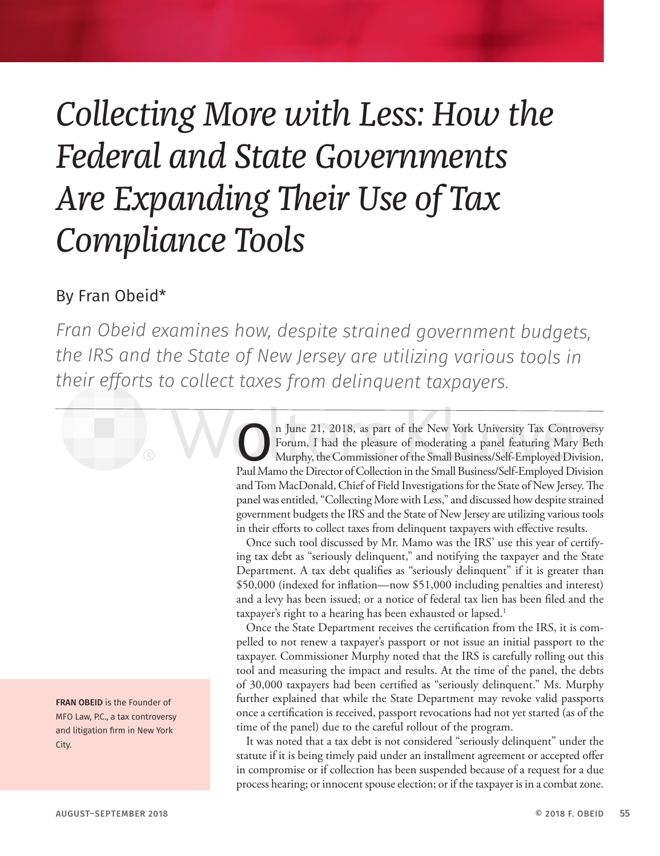## *Collecting More with Less: How the Federal and State Governments Are Expanding Their Use of Tax Compliance Tools*

## By Fran Obeid\*

*Fran Obeid examines how, despite strained government budgets, the IRS and the State of New Jersey are utilizing various tools in their efforts to collect taxes from delinquent taxpayers.*

> **On June 21, 2018, as part of the New York University Tax Controversy<br>Forum, I had the pleasure of moderating a panel featuring Mary Beth<br>Murphy, the Commissioner of the Small Business/Self-Employed Division,<br>Paul Mamo the** Forum, I had the pleasure of moderating a panel featuring Mary Beth Murphy, the Commissioner of the Small Business/Self-Employed Division, Paul Mamo the Director of Collection in the Small Business/Self-Employed Division and Tom MacDonald, Chief of Field Investigations for the State of New Jersey. The panel was entitled, "Collecting More with Less," and discussed how despite strained government budgets the IRS and the State of New Jersey are utilizing various tools in their efforts to collect taxes from delinquent taxpayers with effective results.

> Once such tool discussed by Mr. Mamo was the IRS' use this year of certifying tax debt as "seriously delinquent," and notifying the taxpayer and the State Department. A tax debt qualifies as "seriously delinquent" if it is greater than \$50,000 (indexed for inflation—now \$51,000 including penalties and interest) and a levy has been issued; or a notice of federal tax lien has been filed and the taxpayer's right to a hearing has been exhausted or lapsed.<sup>1</sup>

> Once the State Department receives the certification from the IRS, it is compelled to not renew a taxpayer's passport or not issue an initial passport to the taxpayer. Commissioner Murphy noted that the IRS is carefully rolling out this tool and measuring the impact and results. At the time of the panel, the debts of 30,000 taxpayers had been certified as "seriously delinquent." Ms. Murphy further explained that while the State Department may revoke valid passports once a certification is received, passport revocations had not yet started (as of the time of the panel) due to the careful rollout of the program.

> It was noted that a tax debt is not considered "seriously delinquent" under the statute if it is being timely paid under an installment agreement or accepted offer in compromise or if collection has been suspended because of a request for a due process hearing; or innocent spouse election; or if the taxpayer is in a combat zone.

FRAN OBEID is the Founder of MFO Law, P.C., a tax controversy and litigation firm in New York City.